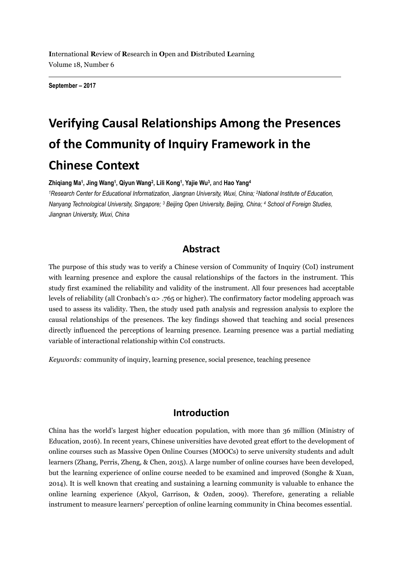**I**nternational **R**eview of **R**esearch in **O**pen and **D**istributed **L**earning Volume 18, Number 6

**September – 2017**

# **Verifying Causal Relationships Among the Presences of the Community of Inquiry Framework in the Chinese Context**

**Zhiqiang Ma<sup>1</sup> , Jing Wang<sup>1</sup> , Qiyun Wang<sup>2</sup> , Lili Kong<sup>1</sup> , Yajie Wu<sup>3</sup> ,** and **Hao Yang<sup>4</sup>**

*1***Research Center for Educational Informatization, Jiangnan University, Wuxi, China; <sup>2</sup>National Institute of Education,** *Nanyang Technological University, Singapore; <sup>3</sup> Beijing Open University, Beijing, China; <sup>4</sup> School of Foreign Studies, Jiangnan University, Wuxi, China*

## **Abstract**

The purpose of this study was to verify a Chinese version of Community of Inquiry (CoI) instrument with learning presence and explore the causal relationships of the factors in the instrument. This study first examined the reliability and validity of the instrument. All four presences had acceptable levels of reliability (all Cronbach's α> .765 or higher). The confirmatory factor modeling approach was used to assess its validity. Then, the study used path analysis and regression analysis to explore the causal relationships of the presences. The key findings showed that teaching and social presences directly influenced the perceptions of learning presence. Learning presence was a partial mediating variable of interactional relationship within CoI constructs.

*Keywords:* community of inquiry, learning presence, social presence, teaching presence

### **Introduction**

China has the world's largest higher education population, with more than 36 million (Ministry of Education, 2016). In recent years, Chinese universities have devoted great effort to the development of online courses such as Massive Open Online Courses (MOOCs) to serve university students and adult learners (Zhang, Perris, Zheng, & Chen, 2015). A large number of online courses have been developed, but the learning experience of online course needed to be examined and improved (Songhe & Xuan, 2014). It is well known that creating and sustaining a learning community is valuable to enhance the online learning experience (Akyol, Garrison, & Ozden, 2009). Therefore, generating a reliable instrument to measure learners' perception of online learning community in China becomes essential.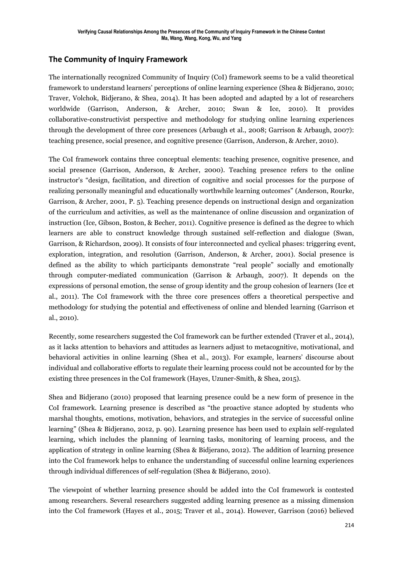### **The Community of Inquiry Framework**

The internationally recognized Community of Inquiry (CoI) framework seems to be a valid theoretical framework to understand learners' perceptions of online learning experience (Shea & Bidjerano, 2010; Traver, Volchok, Bidjerano, & Shea, 2014). It has been adopted and adapted by a lot of researchers worldwide (Garrison, Anderson, & Archer, 2010; Swan & Ice, 2010). It provides collaborative-constructivist perspective and methodology for studying online learning experiences through the development of three core presences (Arbaugh et al., 2008; Garrison & Arbaugh, 2007): teaching presence, social presence, and cognitive presence (Garrison, Anderson, & Archer, 2010).

The CoI framework contains three conceptual elements: teaching presence, cognitive presence, and social presence (Garrison, Anderson, & Archer, 2000). Teaching presence refers to the online instructor's "design, facilitation, and direction of cognitive and social processes for the purpose of realizing personally meaningful and educationally worthwhile learning outcomes" (Anderson, Rourke, Garrison, & Archer, 2001, P. 5). Teaching presence depends on instructional design and organization of the curriculum and activities, as well as the maintenance of online discussion and organization of instruction (Ice, Gibson, Boston, & Becher, 2011). Cognitive presence is defined as the degree to which learners are able to construct knowledge through sustained self-reflection and dialogue (Swan, Garrison, & Richardson, 2009). It consists of four interconnected and cyclical phases: triggering event, exploration, integration, and resolution (Garrison, Anderson, & Archer, 2001). Social presence is defined as the ability to which participants demonstrate "real people" socially and emotionally through computer-mediated communication (Garrison & Arbaugh, 2007). It depends on the expressions of personal emotion, the sense of group identity and the group cohesion of learners (Ice et al., 2011). The CoI framework with the three core presences offers a theoretical perspective and methodology for studying the potential and effectiveness of online and blended learning (Garrison et al., 2010).

Recently, some researchers suggested the CoI framework can be further extended (Traver et al., 2014), as it lacks attention to behaviors and attitudes as learners adjust to metacognitive, motivational, and behavioral activities in online learning (Shea et al., 2013). For example, learners' discourse about individual and collaborative efforts to regulate their learning process could not be accounted for by the existing three presences in the CoI framework (Hayes, Uzuner-Smith, & Shea, 2015).

Shea and Bidjerano (2010) proposed that learning presence could be a new form of presence in the CoI framework. Learning presence is described as "the proactive stance adopted by students who marshal thoughts, emotions, motivation, behaviors, and strategies in the service of successful online learning" (Shea & Bidjerano, 2012, p. 90). Learning presence has been used to explain self-regulated learning, which includes the planning of learning tasks, monitoring of learning process, and the application of strategy in online learning (Shea & Bidjerano, 2012). The addition of learning presence into the CoI framework helps to enhance the understanding of successful online learning experiences through individual differences of self-regulation (Shea & Bidjerano, 2010).

The viewpoint of whether learning presence should be added into the CoI framework is contested among researchers. Several researchers suggested adding learning presence as a missing dimension into the CoI framework (Hayes et al., 2015; Traver et al., 2014). However, Garrison (2016) believed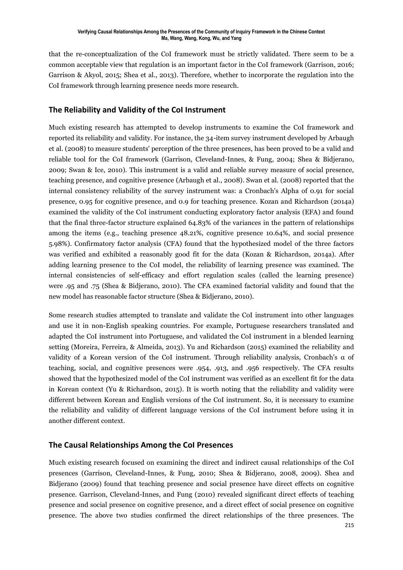that the re-conceptualization of the CoI framework must be strictly validated. There seem to be a common acceptable view that regulation is an important factor in the CoI framework (Garrison, 2016; Garrison & Akyol, 2015; Shea et al., 2013). Therefore, whether to incorporate the regulation into the CoI framework through learning presence needs more research.

### **The Reliability and Validity of the CoI Instrument**

Much existing research has attempted to develop instruments to examine the CoI framework and reported its reliability and validity. For instance, the 34-item survey instrument developed by Arbaugh et al. (2008) to measure students' perception of the three presences, has been proved to be a valid and reliable tool for the CoI framework (Garrison, Cleveland-Innes, & Fung, 2004; Shea & Bidjerano, 2009; Swan & Ice, 2010). This instrument is a valid and reliable survey measure of social presence, teaching presence, and cognitive presence (Arbaugh et al., 2008). Swan et al. (2008) reported that the internal consistency reliability of the survey instrument was: a Cronbach's Alpha of 0.91 for social presence, 0.95 for cognitive presence, and 0.9 for teaching presence. Kozan and Richardson (2014a) examined the validity of the CoI instrument conducting exploratory factor analysis (EFA) and found that the final three-factor structure explained 64.83% of the variances in the pattern of relationships among the items (e.g., teaching presence 48.21%, cognitive presence 10.64%, and social presence 5.98%). Confirmatory factor analysis (CFA) found that the hypothesized model of the three factors was verified and exhibited a reasonably good fit for the data (Kozan & Richardson, 2014a). After adding learning presence to the CoI model, the reliability of learning presence was examined. The internal consistencies of self-efficacy and effort regulation scales (called the learning presence) were .95 and .75 (Shea & Bidjerano, 2010). The CFA examined factorial validity and found that the new model has reasonable factor structure (Shea & Bidjerano, 2010).

Some research studies attempted to translate and validate the CoI instrument into other languages and use it in non-English speaking countries. For example, Portuguese researchers translated and adapted the CoI instrument into Portuguese, and validated the CoI instrument in a blended learning setting (Moreira, Ferreira, & Almeida, 2013). Yu and Richardson (2015) examined the reliability and validity of a Korean version of the CoI instrument. Through reliability analysis, Cronbach's α of teaching, social, and cognitive presences were .954, .913, and .956 respectively. The CFA results showed that the hypothesized model of the CoI instrument was verified as an excellent fit for the data in Korean context (Yu & Richardson, 2015). It is worth noting that the reliability and validity were different between Korean and English versions of the CoI instrument. So, it is necessary to examine the reliability and validity of different language versions of the CoI instrument before using it in another different context.

### **The Causal Relationships Among the CoI Presences**

Much existing research focused on examining the direct and indirect causal relationships of the CoI presences (Garrison, Cleveland-Innes, & Fung, 2010; Shea & Bidjerano, 2008, 2009). Shea and Bidjerano (2009) found that teaching presence and social presence have direct effects on cognitive presence. Garrison, Cleveland-Innes, and Fung (2010) revealed significant direct effects of teaching presence and social presence on cognitive presence, and a direct effect of social presence on cognitive presence. The above two studies confirmed the direct relationships of the three presences. The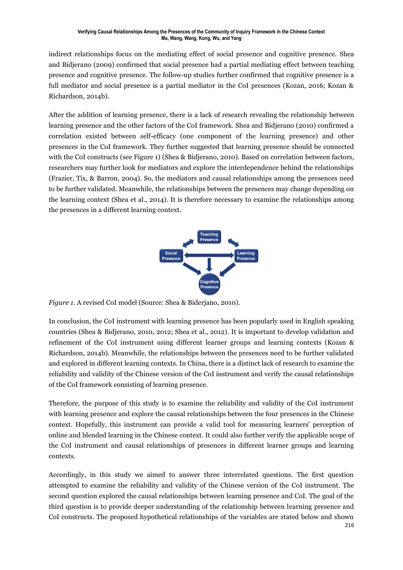indirect relationships focus on the mediating effect of social presence and cognitive presence. Shea and Bidjerano (2009) confirmed that social presence had a partial mediating effect between teaching presence and cognitive presence. The follow-up studies further confirmed that cognitive presence is a full mediator and social presence is a partial mediator in the CoI presences (Kozan, 2016; Kozan & Richardson, 2014b).

After the addition of learning presence, there is a lack of research revealing the relationship between learning presence and the other factors of the CoI framework. Shea and Bidjerano (2010) confirmed a correlation existed between self-efficacy (one component of the learning presence) and other presences in the CoI framework. They further suggested that learning presence should be connected with the CoI constructs (see Figure 1) (Shea & Bidjerano, 2010). Based on correlation between factors, researchers may further look for mediators and explore the interdependence behind the relationships (Frazier, Tix, & Barron, 2004). So, the mediators and causal relationships among the presences need to be further validated. Meanwhile, the relationships between the presences may change depending on the learning context (Shea et al., 2014). It is therefore necessary to examine the relationships among the presences in a different learning context.



*Figure 1.* A revised CoI model (Source: Shea & Biderjano, 2010).

In conclusion, the CoI instrument with learning presence has been popularly used in English speaking countries (Shea & Bidjerano, 2010, 2012; Shea et al., 2012). It is important to develop validation and refinement of the CoI instrument using different learner groups and learning contexts (Kozan & Richardson, 2014b). Meanwhile, the relationships between the presences need to be further validated and explored in different learning contexts. In China, there is a distinct lack of research to examine the reliability and validity of the Chinese version of the CoI instrument and verify the causal relationships of the CoI framework consisting of learning presence.

Therefore, the purpose of this study is to examine the reliability and validity of the CoI instrument with learning presence and explore the causal relationships between the four presences in the Chinese context. Hopefully, this instrument can provide a valid tool for measuring learners' perception of online and blended learning in the Chinese context. It could also further verify the applicable scope of the CoI instrument and causal relationships of presences in different learner groups and learning contexts.

Accordingly, in this study we aimed to answer three interrelated questions. The first question attempted to examine the reliability and validity of the Chinese version of the CoI instrument. The second question explored the causal relationships between learning presence and CoI. The goal of the third question is to provide deeper understanding of the relationship between learning presence and CoI constructs. The proposed hypothetical relationships of the variables are stated below and shown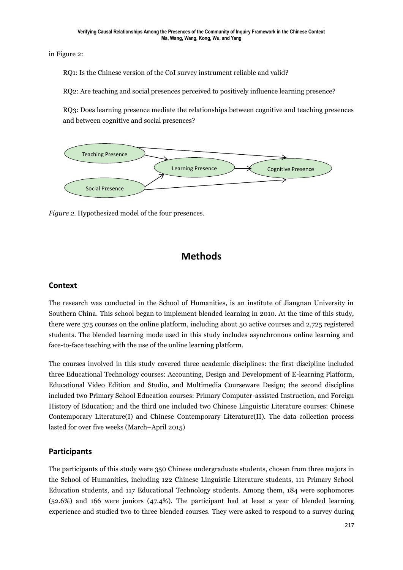in Figure 2:

RQ1: Is the Chinese version of the CoI survey instrument reliable and valid?

RQ2: Are teaching and social presences perceived to positively influence learning presence?

RQ3: Does learning presence mediate the relationships between cognitive and teaching presences and between cognitive and social presences?



*Figure 2.* Hypothesized model of the four presences.

# **Methods**

### **Context**

The research was conducted in the School of Humanities, is an institute of Jiangnan University in Southern China. This school began to implement blended learning in 2010. At the time of this study, there were 375 courses on the online platform, including about 50 active courses and 2,725 registered students. The blended learning mode used in this study includes asynchronous online learning and face-to-face teaching with the use of the online learning platform.

The courses involved in this study covered three academic disciplines: the first discipline included three Educational Technology courses: Accounting, Design and Development of E-learning Platform, Educational Video Edition and Studio, and Multimedia Courseware Design; the second discipline included two Primary School Education courses: Primary Computer-assisted Instruction, and Foreign History of Education; and the third one included two Chinese Linguistic Literature courses: Chinese Contemporary Literature(I) and Chinese Contemporary Literature(II). The data collection process lasted for over five weeks (March–April 2015)

### **Participants**

The participants of this study were 350 Chinese undergraduate students, chosen from three majors in the School of Humanities, including 122 Chinese Linguistic Literature students, 111 Primary School Education students, and 117 Educational Technology students. Among them, 184 were sophomores (52.6%) and 166 were juniors (47.4%). The participant had at least a year of blended learning experience and studied two to three blended courses. They were asked to respond to a survey during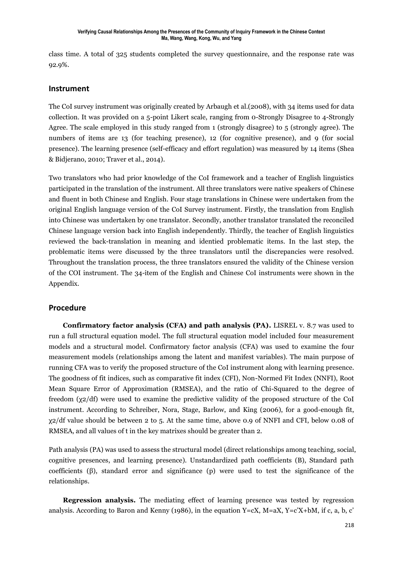class time. A total of 325 students completed the survey questionnaire, and the response rate was 92.9%.

#### **Instrument**

The CoI survey instrument was originally created by Arbaugh et al.(2008), with 34 items used for data collection. It was provided on a 5-point Likert scale, ranging from 0-Strongly Disagree to 4-Strongly Agree. The scale employed in this study ranged from 1 (strongly disagree) to 5 (strongly agree). The numbers of items are 13 (for teaching presence), 12 (for cognitive presence), and 9 (for social presence). The learning presence (self-efficacy and effort regulation) was measured by 14 items (Shea & Bidjerano, 2010; Traver et al., 2014).

Two translators who had prior knowledge of the CoI framework and a teacher of English linguistics participated in the translation of the instrument. All three translators were native speakers of Chinese and fluent in both Chinese and English. Four stage translations in Chinese were undertaken from the original English language version of the CoI Survey instrument. Firstly, the translation from English into Chinese was undertaken by one translator. Secondly, another translator translated the reconciled Chinese language version back into English independently. Thirdly, the teacher of English linguistics reviewed the back-translation in meaning and identied problematic items. In the last step, the problematic items were discussed by the three translators until the discrepancies were resolved. Throughout the translation process, the three translators ensured the validity of the Chinese version of the COI instrument. The 34-item of the English and Chinese CoI instruments were shown in the Appendix.

#### **Procedure**

**Confirmatory factor analysis (CFA) and path analysis (PA).** LISREL v. 8.7 was used to run a full structural equation model. The full structural equation model included four measurement models and a structural model. Confirmatory factor analysis (CFA) was used to examine the four measurement models (relationships among the latent and manifest variables). The main purpose of running CFA was to verify the proposed structure of the CoI instrument along with learning presence. The goodness of fit indices, such as comparative fit index (CFI), Non-Normed Fit Index (NNFI), Root Mean Square Error of Approximation (RMSEA), and the ratio of Chi-Squared to the degree of freedom (χ2/df) were used to examine the predictive validity of the proposed structure of the CoI instrument. According to Schreiber, Nora, Stage, Barlow, and King (2006), for a good-enough fit, χ2/df value should be between 2 to 5. At the same time, above 0.9 of NNFI and CFI, below 0.08 of RMSEA, and all values of t in the key matrixes should be greater than 2.

Path analysis (PA) was used to assess the structural model (direct relationships among teaching, social, cognitive presences, and learning presence). Unstandardized path coefficients (B), Standard path coefficients (β), standard error and significance (p) were used to test the significance of the relationships.

**Regression analysis.** The mediating effect of learning presence was tested by regression analysis. According to Baron and Kenny (1986), in the equation Y=cX, M=aX, Y=c'X+bM, if c, a, b, c'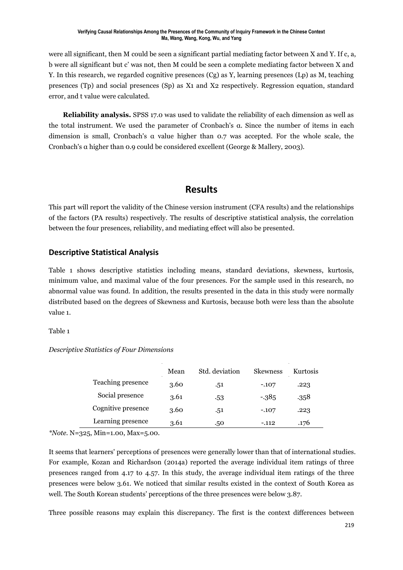were all significant, then M could be seen a significant partial mediating factor between X and Y. If c, a, b were all significant but c' was not, then M could be seen a complete mediating factor between X and Y. In this research, we regarded cognitive presences (Cg) as Y, learning presences (Lp) as M, teaching presences (Tp) and social presences (Sp) as X1 and X2 respectively. Regression equation, standard error, and t value were calculated.

**Reliability analysis.** SPSS 17.0 was used to validate the reliability of each dimension as well as the total instrument. We used the parameter of Cronbach's α. Since the number of items in each dimension is small, Cronbach's α value higher than 0.7 was accepted. For the whole scale, the Cronbach's α higher than 0.9 could be considered excellent (George & Mallery, 2003).

### **Results**

This part will report the validity of the Chinese version instrument (CFA results) and the relationships of the factors (PA results) respectively. The results of descriptive statistical analysis, the correlation between the four presences, reliability, and mediating effect will also be presented.

### **Descriptive Statistical Analysis**

Table 1 shows descriptive statistics including means, standard deviations, skewness, kurtosis, minimum value, and maximal value of the four presences. For the sample used in this research, no abnormal value was found. In addition, the results presented in the data in this study were normally distributed based on the degrees of Skewness and Kurtosis, because both were less than the absolute value 1.

Table 1

*Descriptive Statistics of Four Dimensions* 

|                    | Mean | Std. deviation | <b>Skewness</b> | Kurtosis |
|--------------------|------|----------------|-----------------|----------|
| Teaching presence  | 3.60 | .51            | $-.107$         | .223     |
| Social presence    | 3.61 | .53            | $-385$          | .358     |
| Cognitive presence | 3.60 | .51            | $-.107$         | .223     |
| Learning presence  | 3.61 | .50            | $-.112$         | .176     |
|                    |      |                |                 |          |

*\*Note.* N=325, Min=1.00, Max=5.00.

It seems that learners' perceptions of presences were generally lower than that of international studies. For example, Kozan and Richardson (2014a) reported the average individual item ratings of three presences ranged from 4.17 to 4.57. In this study, the average individual item ratings of the three presences were below 3.61. We noticed that similar results existed in the context of South Korea as well. The South Korean students' perceptions of the three presences were below 3.87.

Three possible reasons may explain this discrepancy. The first is the context differences between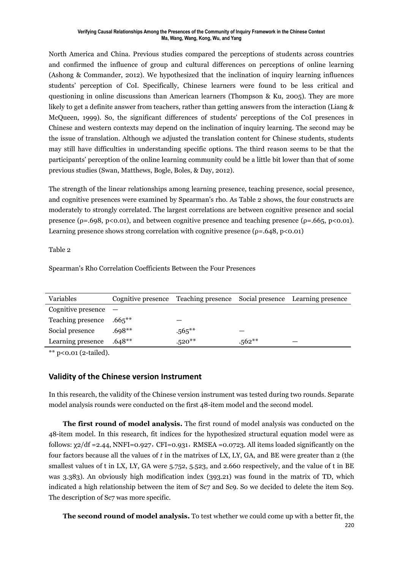#### **Verifying Causal Relationships Among the Presences of the Community of Inquiry Framework in the Chinese Context Ma, Wang, Wang, Kong, Wu, and Yang**

North America and China. Previous studies compared the perceptions of students across countries and confirmed the influence of group and cultural differences on perceptions of online learning (Ashong & Commander, 2012). We hypothesized that the inclination of inquiry learning influences students' perception of CoI. Specifically, Chinese learners were found to be less critical and questioning in online discussions than American learners (Thompson & Ku, 2005). They are more likely to get a definite answer from teachers, rather than getting answers from the interaction (Liang & McQueen, 1999). So, the significant differences of students' perceptions of the CoI presences in Chinese and western contexts may depend on the inclination of inquiry learning. The second may be the issue of translation. Although we adjusted the translation content for Chinese students, students may still have difficulties in understanding specific options. The third reason seems to be that the participants' perception of the online learning community could be a little bit lower than that of some previous studies (Swan, Matthews, Bogle, Boles, & Day, 2012).

The strength of the linear relationships among learning presence, teaching presence, social presence, and cognitive presences were examined by Spearman's rho. As Table 2 shows, the four constructs are moderately to strongly correlated. The largest correlations are between cognitive presence and social presence ( $p = .698$ ,  $p < 0.01$ ), and between cognitive presence and teaching presence ( $p = .665$ ,  $p < 0.01$ ). Learning presence shows strong correlation with cognitive presence  $(p=.648, p<0.01)$ 

Table 2

| Variables                            |          | Cognitive presence Teaching presence Social presence Learning presence |           |  |
|--------------------------------------|----------|------------------------------------------------------------------------|-----------|--|
| Cognitive presence $-$               |          |                                                                        |           |  |
| Teaching presence .665 <sup>**</sup> |          |                                                                        |           |  |
| Social presence                      | .698**   | $.565***$                                                              |           |  |
| Learning presence                    | $.648**$ | $.520**$                                                               | $.562***$ |  |

Spearman's Rho Correlation Coefficients Between the Four Presences

\*\* p<0.01 (2-tailed).

#### **Validity of the Chinese version Instrument**

In this research, the validity of the Chinese version instrument was tested during two rounds. Separate model analysis rounds were conducted on the first 48-item model and the second model.

**The first round of model analysis.** The first round of model analysis was conducted on the 48-item model. In this research, fit indices for the hypothesized structural equation model were as follows:  $\chi$ 2/df =2.44, NNFI=0.927, CFI=0.931, RMSEA =0.0723. All items loaded significantly on the four factors because all the values of *t* in the matrixes of LX, LY, GA, and BE were greater than 2 (the smallest values of t in LX, LY, GA were 5.752, 5.523, and 2.660 respectively, and the value of t in BE was 3.383). An obviously high modification index (393.21) was found in the matrix of TD, which indicated a high relationship between the item of Sc7 and Sc9. So we decided to delete the item Sc9. The description of Sc7 was more specific.

220 **The second round of model analysis.** To test whether we could come up with a better fit, the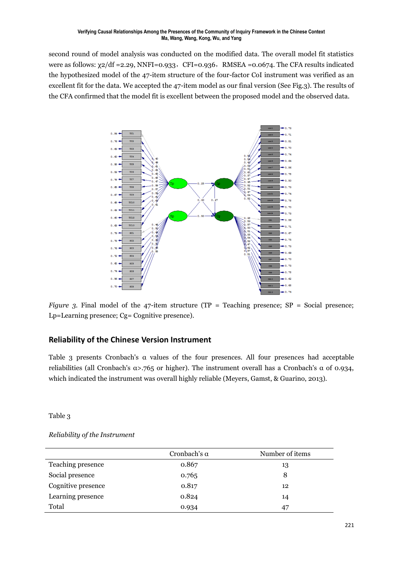second round of model analysis was conducted on the modified data. The overall model fit statistics were as follows:  $\chi$ 2/df =2.29, NNFI=0.933, CFI=0.936, RMSEA =0.0674. The CFA results indicated the hypothesized model of the 47-item structure of the four-factor CoI instrument was verified as an excellent fit for the data. We accepted the 47-item model as our final version (See Fig.3). The results of the CFA confirmed that the model fit is excellent between the proposed model and the observed data.



*Figure 3.* Final model of the 47-item structure (TP = Teaching presence; SP = Social presence; Lp=Learning presence; Cg= Cognitive presence).

### **Reliability of the Chinese Version Instrument**

Table 3 presents Cronbach's α values of the four presences. All four presences had acceptable reliabilities (all Cronbach's α>.765 or higher). The instrument overall has a Cronbach's α of 0.934, which indicated the instrument was overall highly reliable (Meyers, Gamst, & Guarino, 2013).

Table 3

*Reliability of the Instrument*

|                    | Cronbach's $\alpha$ | Number of items |
|--------------------|---------------------|-----------------|
| Teaching presence  | 0.867               | 13              |
| Social presence    | 0.765               | 8               |
| Cognitive presence | 0.817               | 12              |
| Learning presence  | 0.824               | 14              |
| Total              | 0.934               | 47              |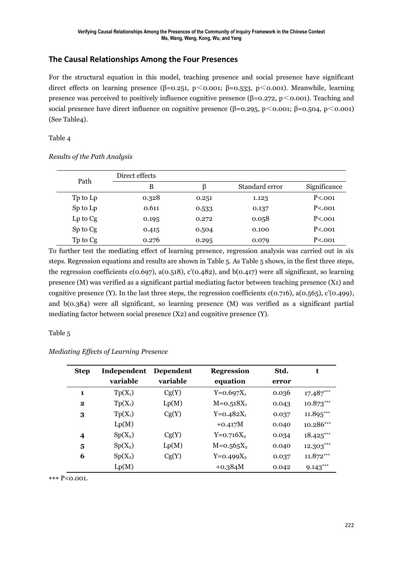### **The Causal Relationships Among the Four Presences**

For the structural equation in this model, teaching presence and social presence have significant direct effects on learning presence (β=0.251, p <0.001; β=0.533, p <0.001). Meanwhile, learning presence was perceived to positively influence cognitive presence (β=0.272,  $p \le 0.001$ ). Teaching and social presence have direct influence on cognitive presence ( $\beta$ =0.295, p<0.001;  $\beta$ =0.504, p<0.001) (See Table4).

#### Table 4

|          | Direct effects |       |                |                  |
|----------|----------------|-------|----------------|------------------|
| Path     | B              |       | Standard error | Significance     |
| Tp to Lp | 0.328          | 0.251 | 1.123          | P <sub>001</sub> |
| Sp to Lp | 0.611          | 0.533 | 0.137          | P <sub>001</sub> |
| Lp to Cg | 0.195          | 0.272 | 0.058          | P <sub>001</sub> |
| Sp to Cg | 0.415          | 0.504 | 0.100          | P <sub>001</sub> |
| Tp to Cg | 0.276          | 0.295 | 0.079          | P <sub>001</sub> |

*Results of the Path Analysis* 

To further test the mediating effect of learning presence, regression analysis was carried out in six steps. Regression equations and results are shown in Table 5. As Table 5 shows, in the first three steps, the regression coefficients c(0.697), a(0.518), c'(0.482), and b(0.417) were all significant, so learning presence (M) was verified as a significant partial mediating factor between teaching presence (X1) and cognitive presence (Y). In the last three steps, the regression coefficients c(0.716), a(0.565), c'(0.499), and b(0.384) were all significant, so learning presence (M) was verified as a significant partial mediating factor between social presence (X2) and cognitive presence (Y).

#### Table 5

*Mediating Effects of Learning Presence*

| <b>Step</b>      | Independent | Dependent | <b>Regression</b> | Std.  | t           |
|------------------|-------------|-----------|-------------------|-------|-------------|
|                  | variable    | variable  | equation          | error |             |
| 1                | $Tp(X_1)$   | Cg(Y)     | $Y = 0.697X_1$    | 0.036 | $17.487***$ |
| $\mathbf{2}$     | $Tp(X_1)$   | Lp(M)     | $M = 0.518X_1$    | 0.043 | $10.873***$ |
| 3                | $Tp(X_1)$   | Cg(Y)     | $Y = 0.482X_1$    | 0.037 | $11.895***$ |
|                  | Lp(M)       |           | $+0.417M$         | 0.040 | $10.286***$ |
| $\boldsymbol{4}$ | $Sp(X_2)$   | Cg(Y)     | $Y = 0.716X_2$    | 0.034 | $18.425***$ |
| 5                | $Sp(X_2)$   | Lp(M)     | $M = 0.565X_2$    | 0.040 | 12.303***   |
| 6                | $Sp(X_2)$   | Cg(Y)     | $Y = 0.499X_2$    | 0.037 | $11.872***$ |
|                  | Lp(M)       |           | $+0.384M$         | 0.042 | $9.143***$  |

\*\*\*  $P < 0.001$ .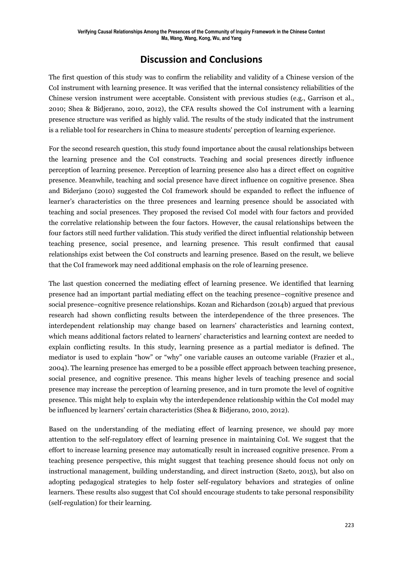# **Discussion and Conclusions**

The first question of this study was to confirm the reliability and validity of a Chinese version of the CoI instrument with learning presence. It was verified that the internal consistency reliabilities of the Chinese version instrument were acceptable. Consistent with previous studies (e.g., Garrison et al., 2010; Shea & Bidjerano, 2010, 2012), the CFA results showed the CoI instrument with a learning presence structure was verified as highly valid. The results of the study indicated that the instrument is a reliable tool for researchers in China to measure students' perception of learning experience.

For the second research question, this study found importance about the causal relationships between the learning presence and the CoI constructs. Teaching and social presences directly influence perception of learning presence. Perception of learning presence also has a direct effect on cognitive presence. Meanwhile, teaching and social presence have direct influence on cognitive presence. Shea and Biderjano (2010) suggested the CoI framework should be expanded to reflect the influence of learner's characteristics on the three presences and learning presence should be associated with teaching and social presences. They proposed the revised CoI model with four factors and provided the correlative relationship between the four factors. However, the causal relationships between the four factors still need further validation. This study verified the direct influential relationship between teaching presence, social presence, and learning presence. This result confirmed that causal relationships exist between the CoI constructs and learning presence. Based on the result, we believe that the CoI framework may need additional emphasis on the role of learning presence.

The last question concerned the mediating effect of learning presence. We identified that learning presence had an important partial mediating effect on the teaching presence–cognitive presence and social presence–cognitive presence relationships. Kozan and Richardson (2014b) argued that previous research had shown conflicting results between the interdependence of the three presences. The interdependent relationship may change based on learners' characteristics and learning context, which means additional factors related to learners' characteristics and learning context are needed to explain conflicting results. In this study, learning presence as a partial mediator is defined. The mediator is used to explain "how" or "why" one variable causes an outcome variable (Frazier et al., 2004). The learning presence has emerged to be a possible effect approach between teaching presence, social presence, and cognitive presence. This means higher levels of teaching presence and social presence may increase the perception of learning presence, and in turn promote the level of cognitive presence. This might help to explain why the interdependence relationship within the CoI model may be influenced by learners' certain characteristics (Shea & Bidjerano, 2010, 2012).

Based on the understanding of the mediating effect of learning presence, we should pay more attention to the self-regulatory effect of learning presence in maintaining CoI. We suggest that the effort to increase learning presence may automatically result in increased cognitive presence. From a teaching presence perspective, this might suggest that teaching presence should focus not only on instructional management, building understanding, and direct instruction (Szeto, 2015), but also on adopting pedagogical strategies to help foster self-regulatory behaviors and strategies of online learners. These results also suggest that CoI should encourage students to take personal responsibility (self-regulation) for their learning.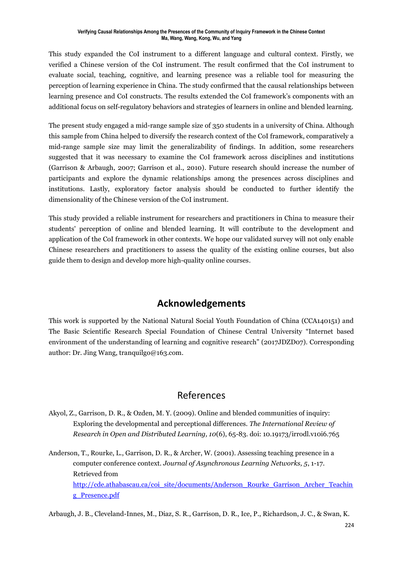This study expanded the CoI instrument to a different language and cultural context. Firstly, we verified a Chinese version of the CoI instrument. The result confirmed that the CoI instrument to evaluate social, teaching, cognitive, and learning presence was a reliable tool for measuring the perception of learning experience in China. The study confirmed that the causal relationships between learning presence and CoI constructs. The results extended the CoI framework's components with an additional focus on self-regulatory behaviors and strategies of learners in online and blended learning.

The present study engaged a mid-range sample size of 350 students in a university of China. Although this sample from China helped to diversify the research context of the CoI framework, comparatively a mid-range sample size may limit the generalizability of findings. In addition, some researchers suggested that it was necessary to examine the CoI framework across disciplines and institutions (Garrison & Arbaugh, 2007; Garrison et al., 2010). Future research should increase the number of participants and explore the dynamic relationships among the presences across disciplines and institutions. Lastly, exploratory factor analysis should be conducted to further identify the dimensionality of the Chinese version of the CoI instrument.

This study provided a reliable instrument for researchers and practitioners in China to measure their students' perception of online and blended learning. It will contribute to the development and application of the CoI framework in other contexts. We hope our validated survey will not only enable Chinese researchers and practitioners to assess the quality of the existing online courses, but also guide them to design and develop more high-quality online courses.

# **Acknowledgements**

This work is supported by the National Natural Social Youth Foundation of China (CCA140151) and The Basic Scientific Research Special Foundation of Chinese Central University "Internet based environment of the understanding of learning and cognitive research" (2017JDZD07). Corresponding author: Dr. Jing Wang, tranquilgo@163.com.

# References

- Akyol, Z., Garrison, D. R., & Ozden, M. Y. (2009). Online and blended communities of inquiry: Exploring the developmental and perceptional differences. *The International Review of Research in Open and Distributed Learning, 10*(6), 65-83. doi: 10.19173/irrodl.v10i6.765
- Anderson, T., Rourke, L., Garrison, D. R., & Archer, W. (2001). Assessing teaching presence in a computer conference context. *Journal of Asynchronous Learning Networks, 5*, 1-17. Retrieved from [http://cde.athabascau.ca/coi\\_site/documents/Anderson\\_Rourke\\_Garrison\\_Archer\\_Teachin](http://cde.athabascau.ca/coi_site/documents/Anderson_Rourke_Garrison_Archer_Teaching_Presence.pdf) [g\\_Presence.pdf](http://cde.athabascau.ca/coi_site/documents/Anderson_Rourke_Garrison_Archer_Teaching_Presence.pdf)

Arbaugh, J. B., Cleveland-Innes, M., Diaz, S. R., Garrison, D. R., Ice, P., Richardson, J. C., & Swan, K.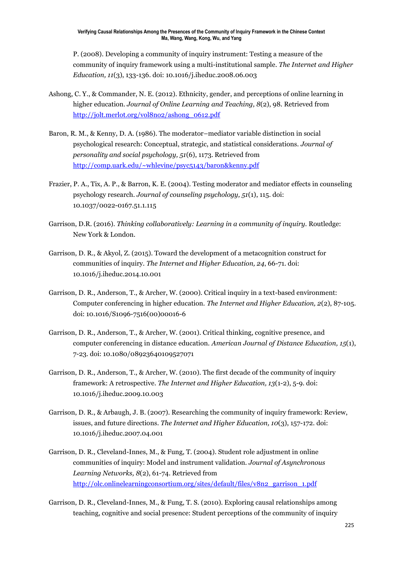P. (2008). Developing a community of inquiry instrument: Testing a measure of the community of inquiry framework using a multi-institutional sample. *The Internet and Higher Education, 11*(3), 133-136. doi: 10.1016/j.iheduc.2008.06.003

- Ashong, C. Y., & Commander, N. E. (2012). Ethnicity, gender, and perceptions of online learning in higher education. *Journal of Online Learning and Teaching, 8*(2), 98. Retrieved from [http://jolt.merlot.org/vol8no2/ashong\\_0612.pdf](http://jolt.merlot.org/vol8no2/ashong_0612.pdf)
- Baron, R. M., & Kenny, D. A. (1986). The moderator–mediator variable distinction in social psychological research: Conceptual, strategic, and statistical considerations. *Journal of personality and social psychology, 51*(6), 1173. Retrieved from <http://comp.uark.edu/~whlevine/psyc5143/baron&kenny.pdf>
- Frazier, P. A., Tix, A. P., & Barron, K. E. (2004). Testing moderator and mediator effects in counseling psychology research. *Journal of counseling psychology, 51*(1), 115. doi: 10.1037/0022-0167.51.1.115
- Garrison, D.R. (2016). *Thinking collaboratively: Learning in a community of inquiry.* Routledge: New York & London.
- Garrison, D. R., & Akyol, Z. (2015). Toward the development of a metacognition construct for communities of inquiry. *The Internet and Higher Education, 24*, 66-71. doi: 10.1016/j.iheduc.2014.10.001
- Garrison, D. R., Anderson, T., & Archer, W. (2000). Critical inquiry in a text-based environment: Computer conferencing in higher education. *The Internet and Higher Education, 2*(2), 87-105. doi: 10.1016/S1096-7516(00)00016-6
- Garrison, D. R., Anderson, T., & Archer, W. (2001). Critical thinking, cognitive presence, and computer conferencing in distance education. *American Journal of Distance Education, 15*(1), 7-23. doi: 10.1080/08923640109527071
- Garrison, D. R., Anderson, T., & Archer, W. (2010). The first decade of the community of inquiry framework: A retrospective. *The Internet and Higher Education, 13*(1-2), 5-9. doi: 10.1016/j.iheduc.2009.10.003
- Garrison, D. R., & Arbaugh, J. B. (2007). Researching the community of inquiry framework: Review, issues, and future directions. *The Internet and Higher Education, 10*(3), 157-172. doi: 10.1016/j.iheduc.2007.04.001
- Garrison, D. R., Cleveland-Innes, M., & Fung, T. (2004). Student role adjustment in online communities of inquiry: Model and instrument validation. *Journal of Asynchronous Learning Networks, 8*(2), 61-74. Retrieved from [http://olc.onlinelearningconsortium.org/sites/default/files/v8n2\\_garrison\\_1.pdf](http://olc.onlinelearningconsortium.org/sites/default/files/v8n2_garrison_1.pdf)
- Garrison, D. R., Cleveland-Innes, M., & Fung, T. S. (2010). Exploring causal relationships among teaching, cognitive and social presence: Student perceptions of the community of inquiry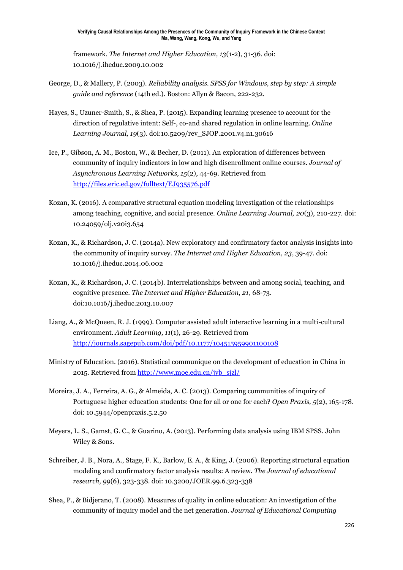framework. *The Internet and Higher Education, 13*(1-2), 31-36. doi: 10.1016/j.iheduc.2009.10.002

- George, D., & Mallery, P. (2003). *Reliability analysis. SPSS for Windows, step by step: A simple guide and reference* (14th ed.). Boston: Allyn & Bacon, 222-232.
- Hayes, S., Uzuner-Smith, S., & Shea, P. (2015). Expanding learning presence to account for the direction of regulative intent: Self-, co-and shared regulation in online learning. *Online Learning Journal, 19*(3). doi:10.5209/rev\_SJOP.2001.v4.n1.30616
- Ice, P., Gibson, A. M., Boston, W., & Becher, D. (2011). An exploration of differences between community of inquiry indicators in low and high disenrollment online courses. *Journal of Asynchronous Learning Networks, 15*(2), 44-69. Retrieved from <http://files.eric.ed.gov/fulltext/EJ935576.pdf>
- Kozan, K. (2016). A comparative structural equation modeling investigation of the relationships among teaching, cognitive, and social presence. *Online Learning Journal, 20*(3), 210-227. doi: 10.24059/olj.v20i3.654
- Kozan, K., & Richardson, J. C. (2014a). New exploratory and confirmatory factor analysis insights into the community of inquiry survey. *The Internet and Higher Education, 23*, 39-47. doi: 10.1016/j.iheduc.2014.06.002
- Kozan, K., & Richardson, J. C. (2014b). Interrelationships between and among social, teaching, and cognitive presence. *The Internet and Higher Education, 21*, 68-73. doi:10.1016/j.iheduc.2013.10.007
- Liang, A., & McQueen, R. J. (1999). Computer assisted adult interactive learning in a multi-cultural environment. *Adult Learning, 11*(1), 26-29. Retrieved from <http://journals.sagepub.com/doi/pdf/10.1177/104515959901100108>
- Ministry of Education. (2016). Statistical communique on the development of education in China in 2015. Retrieved from [http://www.moe.edu.cn/jyb\\_sjzl/](http://www.moe.edu.cn/jyb_sjzl/)
- Moreira, J. A., Ferreira, A. G., & Almeida, A. C. (2013). Comparing communities of inquiry of Portuguese higher education students: One for all or one for each? *Open Praxis, 5*(2), 165-178. doi: 10.5944/openpraxis.5.2.50
- Meyers, L. S., Gamst, G. C., & Guarino, A. (2013). Performing data analysis using IBM SPSS. John Wiley & Sons.
- Schreiber, J. B., Nora, A., Stage, F. K., Barlow, E. A., & King, J. (2006). Reporting structural equation modeling and confirmatory factor analysis results: A review. *The Journal of educational research, 99*(6), 323-338. doi: 10.3200/JOER.99.6.323-338
- Shea, P., & Bidjerano, T. (2008). Measures of quality in online education: An investigation of the community of inquiry model and the net generation. *Journal of Educational Computing*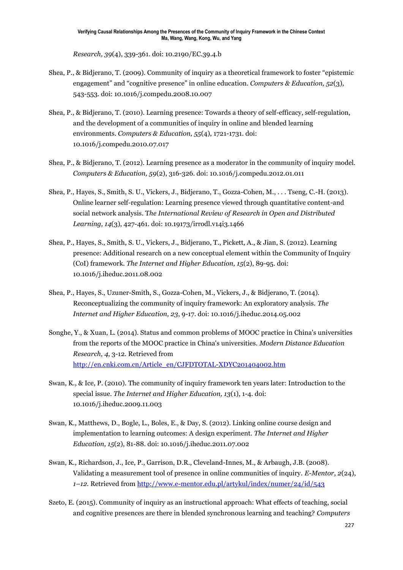*Research, 39*(4), 339-361. doi: 10.2190/EC.39.4.b

- Shea, P., & Bidjerano, T. (2009). Community of inquiry as a theoretical framework to foster "epistemic engagement" and "cognitive presence" in online education. *Computers & Education, 52*(3), 543-553. doi: 10.1016/j.compedu.2008.10.007
- Shea, P., & Bidjerano, T. (2010). Learning presence: Towards a theory of self-efficacy, self-regulation, and the development of a communities of inquiry in online and blended learning environments. *Computers & Education, 55*(4), 1721-1731. doi: 10.1016/j.compedu.2010.07.017
- Shea, P., & Bidjerano, T. (2012). Learning presence as a moderator in the community of inquiry model. *Computers & Education, 59*(2), 316-326. doi: 10.1016/j.compedu.2012.01.011
- Shea, P., Hayes, S., Smith, S. U., Vickers, J., Bidjerano, T., Gozza-Cohen, M., . . . Tseng, C.-H. (2013). Online learner self-regulation: Learning presence viewed through quantitative content-and social network analysis. T*he International Review of Research in Open and Distributed Learning, 14*(3), 427-461. doi: 10.19173/irrodl.v14i3.1466
- Shea, P., Hayes, S., Smith, S. U., Vickers, J., Bidjerano, T., Pickett, A., & Jian, S. (2012). Learning presence: Additional research on a new conceptual element within the Community of Inquiry (CoI) framework. *The Internet and Higher Education, 15*(2), 89-95. doi: 10.1016/j.iheduc.2011.08.002
- Shea, P., Hayes, S., Uzuner-Smith, S., Gozza-Cohen, M., Vickers, J., & Bidjerano, T. (2014). Reconceptualizing the community of inquiry framework: An exploratory analysis. *The Internet and Higher Education, 23*, 9-17. doi: 10.1016/j.iheduc.2014.05.002
- Songhe, Y., & Xuan, L. (2014). Status and common problems of MOOC practice in China's universities from the reports of the MOOC practice in China's universities. *Modern Distance Education Research, 4*, 3-12. Retrieved from [http://en.cnki.com.cn/Article\\_en/CJFDTOTAL-XDYC201404002.htm](http://en.cnki.com.cn/Article_en/CJFDTOTAL-XDYC201404002.htm)
- Swan, K., & Ice, P. (2010). The community of inquiry framework ten years later: Introduction to the special issue. *The Internet and Higher Education, 13*(1), 1-4. doi: 10.1016/j.iheduc.2009.11.003
- Swan, K., Matthews, D., Bogle, L., Boles, E., & Day, S. (2012). Linking online course design and implementation to learning outcomes: A design experiment. *The Internet and Higher Education, 15*(2), 81-88. doi: 10.1016/j.iheduc.2011.07.002
- Swan, K., Richardson, J., Ice, P., Garrison, D.R., Cleveland-Innes, M., & Arbaugh, J.B. (2008). Validating a measurement tool of presence in online communities of inquiry. *E-Mentor, 2*(24), *1–12*. Retrieved from<http://www.e-mentor.edu.pl/artykul/index/numer/24/id/543>
- Szeto, E. (2015). Community of inquiry as an instructional approach: What effects of teaching, social and cognitive presences are there in blended synchronous learning and teaching? *Computers*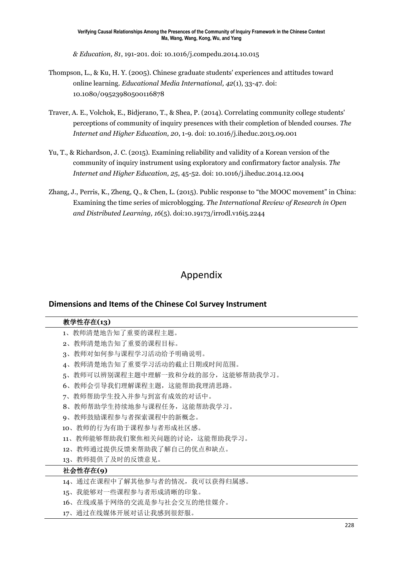*& Education, 81*, 191-201. doi: 10.1016/j.compedu.2014.10.015

- Thompson, L., & Ku, H. Y. (2005). Chinese graduate students' experiences and attitudes toward online learning. *Educational Media International, 42*(1), 33-47. doi: 10.1080/09523980500116878
- Traver, A. E., Volchok, E., Bidjerano, T., & Shea, P. (2014). Correlating community college students' perceptions of community of inquiry presences with their completion of blended courses. *The Internet and Higher Education, 20*, 1-9. doi: 10.1016/j.iheduc.2013.09.001
- Yu, T., & Richardson, J. C. (2015). Examining reliability and validity of a Korean version of the community of inquiry instrument using exploratory and confirmatory factor analysis. *The Internet and Higher Education, 25*, 45-52. doi: 10.1016/j.iheduc.2014.12.004
- Zhang, J., Perris, K., Zheng, Q., & Chen, L. (2015). Public response to "the MOOC movement" in China: Examining the time series of microblogging. *The International Review of Research in Open and Distributed Learning, 16*(5). doi:10.19173/irrodl.v16i5.2244

# Appendix

### **Dimensions and Items of the Chinese CoI Survey Instrument**

| 教学性存在(13)                         |
|-----------------------------------|
| 1、教师清楚地告知了重要的课程主题。                |
| 2、教师清楚地告知了重要的课程目标。                |
| 3、教师对如何参与课程学习活动给予明确说明。            |
| 教师清楚地告知了重要学习活动的截止日期或时间范围。         |
| 5、教师可以辨别课程主题中理解一致和分歧的部分,这能够帮助我学习。 |
| 6、教师会引导我们理解课程主题,这能帮助我理清思路。        |
| 7、教师帮助学生投入并参与到富有成效的对话中。           |
| 8、教师帮助学生持续地参与课程任务,这能帮助我学习。        |
| 9、教师鼓励课程参与者探索课程中的新概念。             |
| 10、教师的行为有助于课程参与者形成社区感。            |
| 11、教师能够帮助我们聚焦相关问题的讨论,这能帮助我学习。     |
| 12、教师通过提供反馈来帮助我了解自己的优点和缺点。        |
| 13、教师提供了及时的反馈意见。                  |
| 社会性存在(g)                          |
| 14、通过在课程中了解其他参与者的情况,我可以获得归属感。     |
| 15、我能够对一些课程参与者形成清晰的印象。            |
| 16、在线或基于网络的交流是参与社会交互的绝佳媒介。        |
| 17、通过在线媒体开展对话让我感到很舒服。             |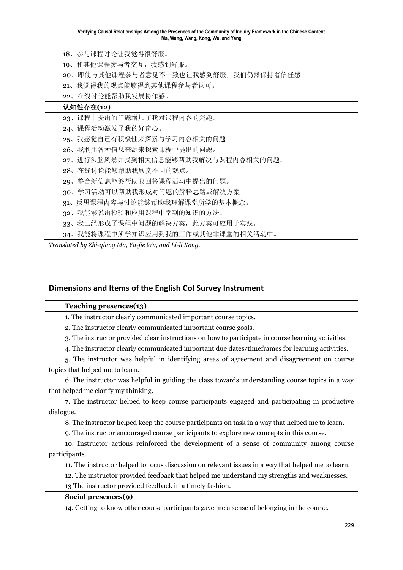- 18、参与课程讨论让我觉得很舒服。
- 19、和其他课程参与者交互,我感到舒服。
- 20、即使与其他课程参与者意见不一致也让我感到舒服,我们仍然保持着信任感。
- 21、我觉得我的观点能够得到其他课程参与者认可。
- 22、在线讨论能帮助我发展协作感。

# 认知性存在**(12)**

- 23、课程中提出的问题增加了我对课程内容的兴趣。
- 24、课程活动激发了我的好奇心。
- 25、我感觉自己有积极性来探索与学习内容相关的问题。
- 26、我利用各种信息来源来探索课程中提出的问题。
- 27、进行头脑风暴并找到相关信息能够帮助我解决与课程内容相关的问题。
- 28、在线讨论能够帮助我欣赏不同的观点。
- 29、整合新信息能够帮助我回答课程活动中提出的问题。
- 30、学习活动可以帮助我形成对问题的解释思路或解决方案。
- 31、反思课程内容与讨论能够帮助我理解课堂所学的基本概念。
- 32、我能够说出检验和应用课程中学到的知识的方法。
- 33、我已经形成了课程中问题的解决方案,此方案可应用于实践。
- 34、我能将课程中所学知识应用到我的工作或其他非课堂的相关活动中。

*Translated by Zhi-qiang Ma, Ya-jie Wu, and Li-li Kong.*

#### **Dimensions and Items of the English CoI Survey Instrument**

#### **Teaching presences(13)**

1. The instructor clearly communicated important course topics.

2. The instructor clearly communicated important course goals.

3. The instructor provided clear instructions on how to participate in course learning activities.

4. The instructor clearly communicated important due dates/timeframes for learning activities.

5. The instructor was helpful in identifying areas of agreement and disagreement on course topics that helped me to learn.

6. The instructor was helpful in guiding the class towards understanding course topics in a way that helped me clarify my thinking.

7. The instructor helped to keep course participants engaged and participating in productive dialogue.

8. The instructor helped keep the course participants on task in a way that helped me to learn.

9. The instructor encouraged course participants to explore new concepts in this course.

10. Instructor actions reinforced the development of a sense of community among course participants.

11. The instructor helped to focus discussion on relevant issues in a way that helped me to learn.

12. The instructor provided feedback that helped me understand my strengths and weaknesses.

13 The instructor provided feedback in a timely fashion.

#### **Social presences(9)**

14. Getting to know other course participants gave me a sense of belonging in the course.